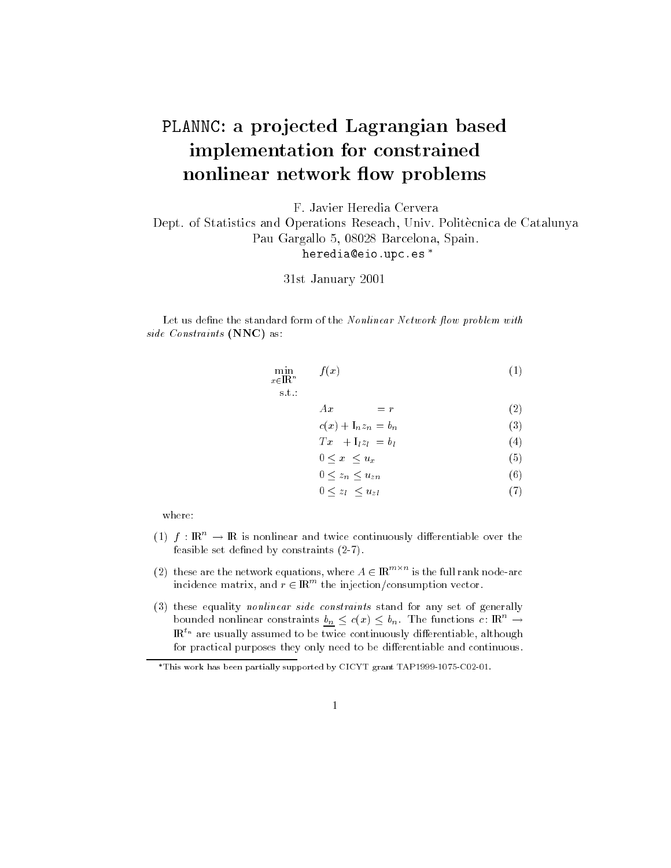## PLANNC: a projected Lagrangian based implementation for constrainednonlinear network flow problems

F. Javier Heredia Cervera

Dept. of Statistics and Operations Reseach, Univ. Politecnica de CatalunyaPau Gargallo 5, 08028 Barcelona, Spain.heredia@eio.upc.es

31st January 2001

Let us define the standard form of the Nonlinear Network flow problem with siae Constraints (NNC) as.

$$
\min_{\substack{x \in \mathbb{R}^n \\ \text{s.t.:}} \qquad f(x) \tag{1}
$$

 $Ax = r$  (2)

$$
c(x) + \mathcal{I}_n z_n = b_n \tag{3}
$$

$$
Tx + I_1 z_l = b_l \tag{4}
$$

$$
0 \le x \le u_x \tag{5}
$$
\n
$$
0 \le x \le u \tag{6}
$$

$$
0 \le z_n \le u_{zn} \tag{0}
$$

$$
0 \le z_l \le u_{-l} \tag{7}
$$

$$
0 \leq z_l \leq u_{z_l} \tag{1}
$$

where:

- (1)  $f : \mathbb{R}^n \to \mathbb{R}$  is nonlinear and twice continuously differentiable over the feasible set defined by constraints  $(2-7)$ .
- (2) these are the network equations, where  $A \in {\rm I\!R}^{m \times m}$  is the full rank node-arc incidence matrix, and  $r\in{\rm I\!R}$  the injection/consumption vector.
- (3) these equality nonlinear side constraints stand for any set of generally bounded nonlinear constraints  $b_n \leq c(x) \leq b_n$ . The functions  $c : \mathbb{R}^n \to$  $\mathbb{R}^{t_n}$  are usually assumed to be twice continuously differentiable, although for practical purposes they only need to be differentiable and continuous.

This work has been partially supported by CICYT grant TAP1999-1075-C02-01.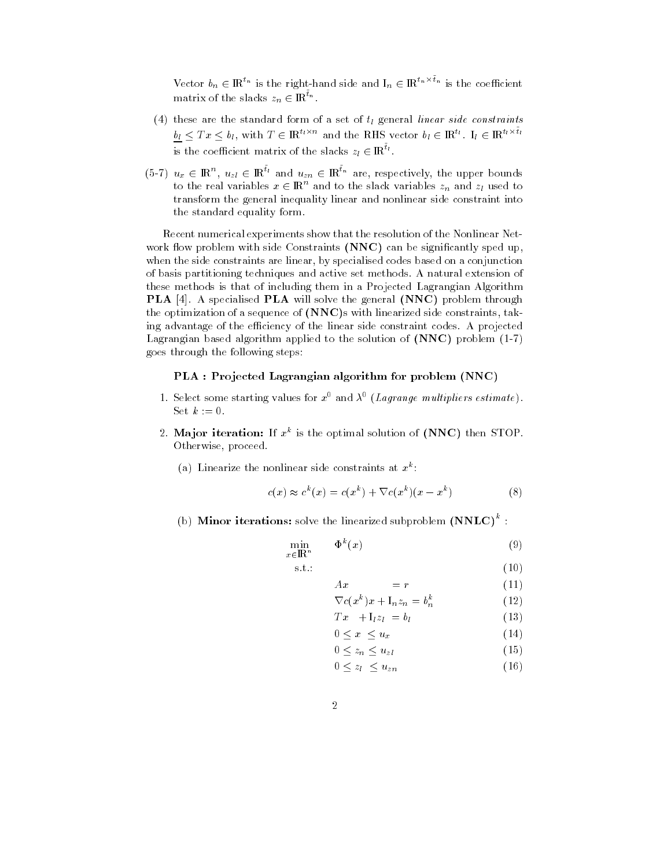Vector  $b_n \in \mathbb{R}^{n}$  is the right-hand side and  $I_n \in \mathbb{R}^{n}$  is the coefficient matrix of the slacks  $z_n \in {\rm I\!R}^{\tau_n}$ .

- (4) these are the standard form of a set of  $t_1$  general linear side constraints  $b_l \leq T x \leq b_l$ , with  $T \in \rm I\!R^{n \wedge n}$  and the RHS vector  $b_l \in \rm I\!R^{n}$ .  $I_l \in \rm I\!R^{n \wedge n}$ is the coefficient matrix of the slacks  $z_l \in {\rm I\!R}^n$  .
- (5-7)  $u_x \in \mathbb{R}^n$ ,  $u_{z} \in \mathbb{R}^{n}$  and  $u_{zn} \in \mathbb{R}^{n}$  are, respectively, the upper bounds to the real variables  $x \in \mathbb{R}^n$  and to the slack variables  $z_n$  and  $z_l$  used to transform the general inequality linear and nonlinear side constraint into the standard equality form.

Recent numerical experiments show that the resolution of the Nonlinear Net work flow problem with side Constraints (NNC) can be significantly sped up, when the side constraints are linear, by specialised codes based on a conjunction of basis partitioning techniques and active set methods. A natural extension of these methods is that of including them in a Projected Lagrangian Algorithm PLA [4]. A specialised PLA will solve the general (NNC) problem through the optimization of a sequence of (NNC)s with linearized side constraints, taking advantage of the efficiency of the linear side constraint codes. A projected Lagrangian based algorithm applied to the solution of  $(NNC)$  problem  $(1-7)$ goes through the following steps:

## PLA : Projected Lagrangian algorithm for problem (NNC)

- 1. Select some starting values for x and  $\lambda^+$  (Lagrange multipliers estimate). Set  $k := 0$ .
- 2. Ma jor iteration: If xk is the optimal solution of (NNC) then STOP. Otherwise, proceed.
	- (a) Linearize the nonlinear side constraints at  $x^-$ :

$$
c(x) \approx c^k(x) = c(x^k) + \nabla c(x^k)(x - x^k)
$$
\n(8)

(b) **Minor iterations:** solve the linearized subproblem  $(NNLC)^{\top}$ :

$$
\min_{x \in \mathbb{R}^n} \qquad \Phi^k(x) \tag{9}
$$

$$
\text{s.t.}: \qquad (10)
$$

$$
Ax = r \tag{11}
$$

$$
\nabla c(x^k)x + \mathbf{I}_n z_n = b_n^k \tag{12}
$$

$$
Tx + I_1 z_l = b_l \tag{13}
$$

$$
0 \le x \le u_x \tag{14}
$$

$$
0 \le z_n \le u_{z1} \tag{15}
$$

$$
0 \le z_l \le u_{zn} \tag{16}
$$